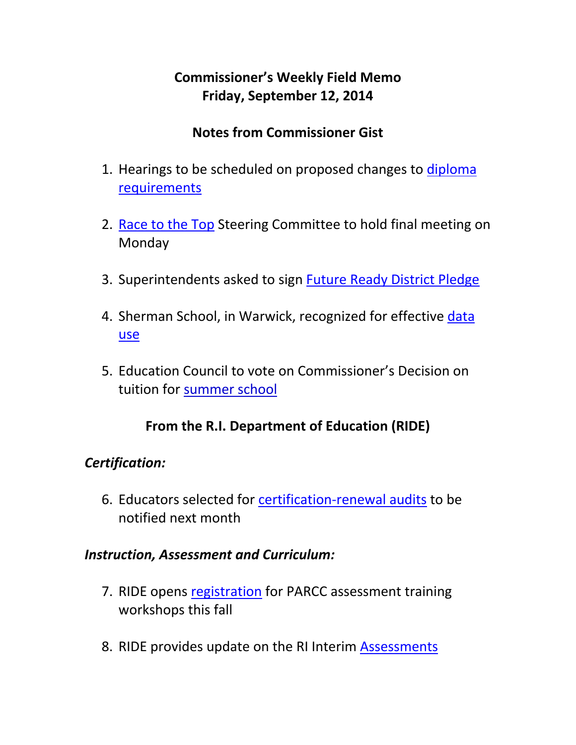# **Commissioner's Weekly Field Memo Friday, September 12, 2014**

## **Notes from Commissioner Gist**

- 1. Hearings to be scheduled on proposed changes to diploma requirements
- 2. Race to the Top Steering Committee to hold final meeting on Monday
- 3. Superintendents asked to sign Future Ready District Pledge
- 4. Sherman School, in Warwick, recognized for effective data use
- 5. Education Council to vote on Commissioner's Decision on tuition for summer school

### **From the R.I. Department of Education (RIDE)**

### *Certification:*

6. Educators selected for certification‐renewal audits to be notified next month

### *Instruction, Assessment and Curriculum:*

- 7. RIDE opens registration for PARCC assessment training workshops this fall
- 8. RIDE provides update on the RI Interim Assessments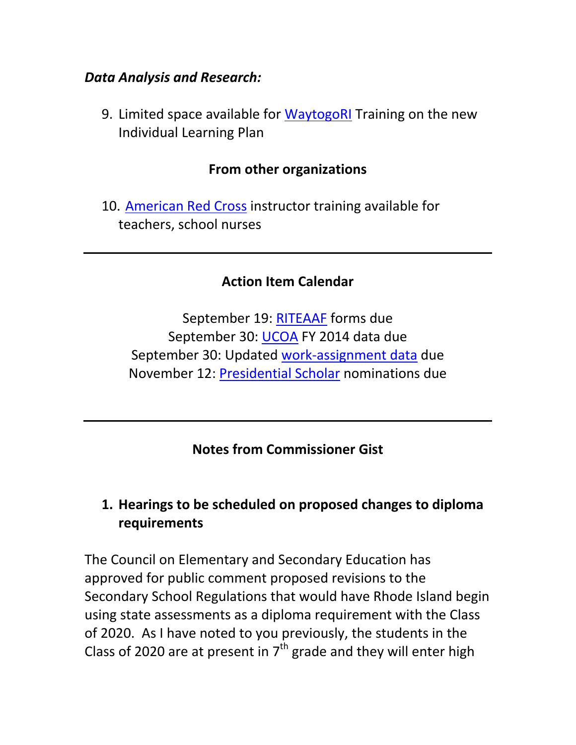#### *Data Analysis and Research:*

9. Limited space available for WaytogoRI Training on the new Individual Learning Plan

### **From other organizations**

10. American Red Cross instructor training available for teachers, school nurses

#### **Action Item Calendar**

September 19: RITEAAF forms due September 30: UCOA FY 2014 data due September 30: Updated work‐assignment data due November 12: Presidential Scholar nominations due

## **Notes from Commissioner Gist**

## **1. Hearings to be scheduled on proposed changes to diploma requirements**

The Council on Elementary and Secondary Education has approved for public comment proposed revisions to the Secondary School Regulations that would have Rhode Island begin using state assessments as a diploma requirement with the Class of 2020. As I have noted to you previously, the students in the Class of 2020 are at present in  $7<sup>th</sup>$  grade and they will enter high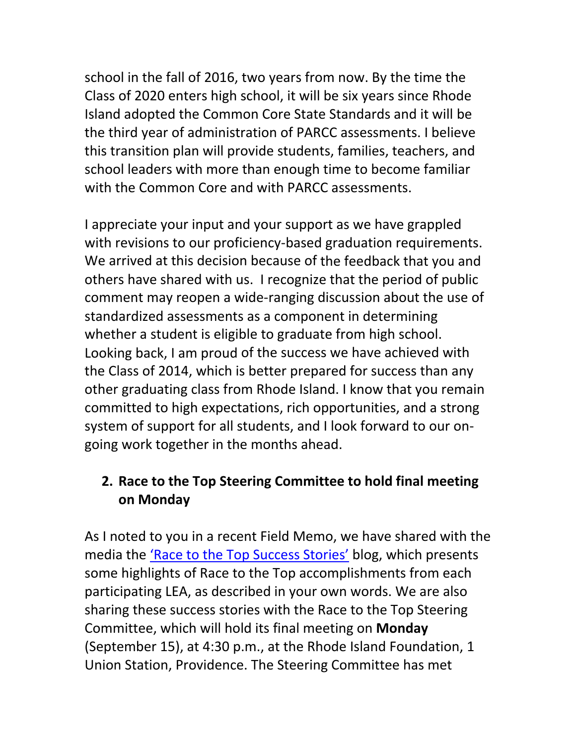school in the fall of 2016, two years from now. By the time the Class of 2020 enters high school, it will be six years since Rhode Island adopted the Common Core State Standards and it will be the third year of administration of PARCC assessments. I believe this transition plan will provide students, families, teachers, and school leaders with more than enough time to become familiar with the Common Core and with PARCC assessments.

I appreciate your input and your support as we have grappled with revisions to our proficiency-based graduation requirements. We arrived at this decision because of the feedback that you and others have shared with us. I recognize that the period of public comment may reopen a wide‐ranging discussion about the use of standardized assessments as a component in determining whether a student is eligible to graduate from high school. Looking back, I am proud of the success we have achieved with the Class of 2014, which is better prepared for success than any other graduating class from Rhode Island. I know that you remain committed to high expectations, rich opportunities, and a strong system of support for all students, and I look forward to our on‐ going work together in the months ahead.

## **2. Race to the Top Steering Committee to hold final meeting on Monday**

As I noted to you in a recent Field Memo, we have shared with the media the 'Race to the Top Success Stories' blog, which presents some highlights of Race to the Top accomplishments from each participating LEA, as described in your own words. We are also sharing these success stories with the Race to the Top Steering Committee, which will hold its final meeting on **Monday** (September 15), at 4:30 p.m., at the Rhode Island Foundation, 1 Union Station, Providence. The Steering Committee has met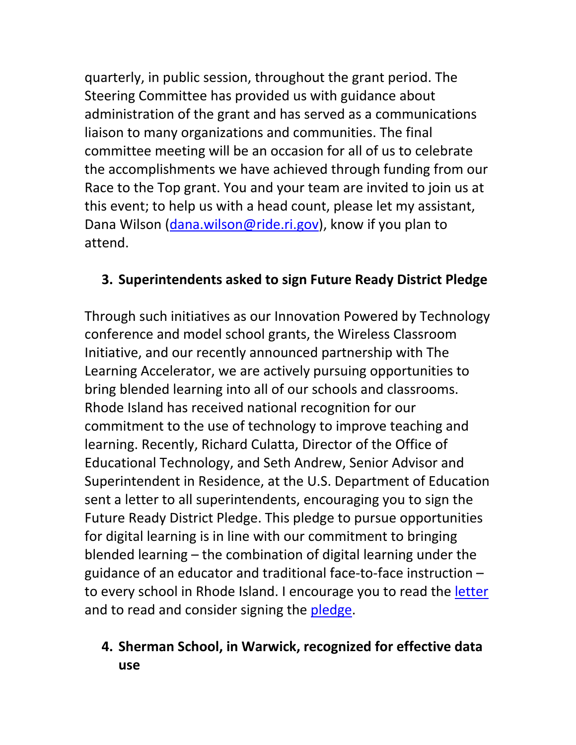quarterly, in public session, throughout the grant period. The Steering Committee has provided us with guidance about administration of the grant and has served as a communications liaison to many organizations and communities. The final committee meeting will be an occasion for all of us to celebrate the accomplishments we have achieved through funding from our Race to the Top grant. You and your team are invited to join us at this event; to help us with a head count, please let my assistant, Dana Wilson (dana.wilson@ride.ri.gov), know if you plan to attend.

## **3. Superintendents asked to sign Future Ready District Pledge**

Through such initiatives as our Innovation Powered by Technology conference and model school grants, the Wireless Classroom Initiative, and our recently announced partnership with The Learning Accelerator, we are actively pursuing opportunities to bring blended learning into all of our schools and classrooms. Rhode Island has received national recognition for our commitment to the use of technology to improve teaching and learning. Recently, Richard Culatta, Director of the Office of Educational Technology, and Seth Andrew, Senior Advisor and Superintendent in Residence, at the U.S. Department of Education sent a letter to all superintendents, encouraging you to sign the Future Ready District Pledge. This pledge to pursue opportunities for digital learning is in line with our commitment to bringing blended learning – the combination of digital learning under the guidance of an educator and traditional face‐to‐face instruction – to every school in Rhode Island. I encourage you to read the letter and to read and consider signing the pledge.

## **4. Sherman School, in Warwick, recognized for effective data use**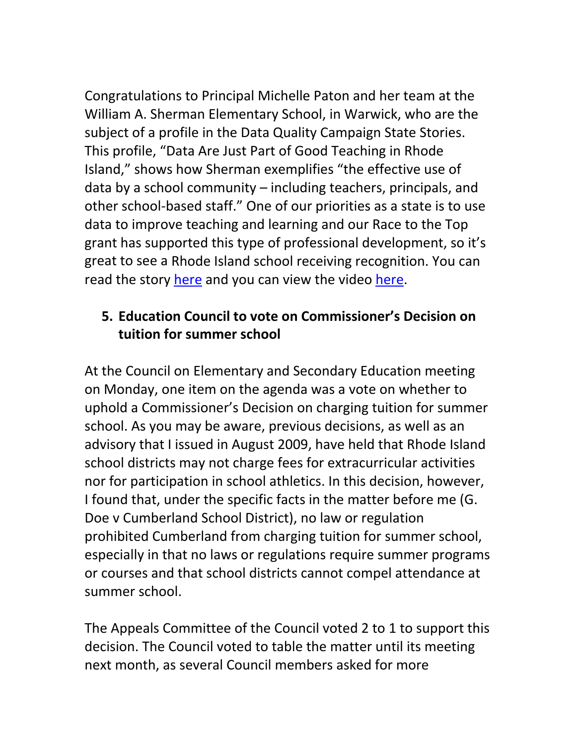Congratulations to Principal Michelle Paton and her team at the William A. Sherman Elementary School, in Warwick, who are the subject of a profile in the Data Quality Campaign State Stories. This profile, "Data Are Just Part of Good Teaching in Rhode Island," shows how Sherman exemplifies "the effective use of data by a school community – including teachers, principals, and other school‐based staff." One of our priorities as a state is to use data to improve teaching and learning and our Race to the Top grant has supported this type of professional development, so it's great to see a Rhode Island school receiving recognition. You can read the story here and you can view the video here.

## **5. Education Council to vote on Commissioner's Decision on tuition for summer school**

At the Council on Elementary and Secondary Education meeting on Monday, one item on the agenda was a vote on whether to uphold a Commissioner's Decision on charging tuition for summer school. As you may be aware, previous decisions, as well as an advisory that I issued in August 2009, have held that Rhode Island school districts may not charge fees for extracurricular activities nor for participation in school athletics. In this decision, however, I found that, under the specific facts in the matter before me (G. Doe v Cumberland School District), no law or regulation prohibited Cumberland from charging tuition for summer school, especially in that no laws or regulations require summer programs or courses and that school districts cannot compel attendance at summer school.

The Appeals Committee of the Council voted 2 to 1 to support this decision. The Council voted to table the matter until its meeting next month, as several Council members asked for more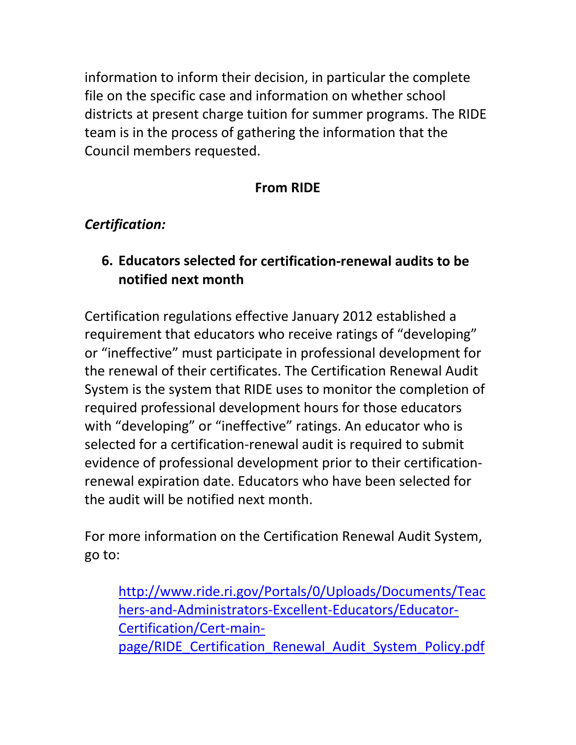information to inform their decision, in particular the complete file on the specific case and information on whether school districts at present charge tuition for summer programs. The RIDE team is in the process of gathering the information that the Council members requested.

## **From RIDE**

## *Certification:*

## **6. Educators selected for certification‐renewal audits to be notified next month**

Certification regulations effective January 2012 established a requirement that educators who receive ratings of "developing" or "ineffective" must participate in professional development for the renewal of their certificates. The Certification Renewal Audit System is the system that RIDE uses to monitor the completion of required professional development hours for those educators with "developing" or "ineffective" ratings. An educator who is selected for a certification‐renewal audit is required to submit evidence of professional development prior to their certification‐ renewal expiration date. Educators who have been selected for the audit will be notified next month.

For more information on the Certification Renewal Audit System, go to:

http://www.ride.ri.gov/Portals/0/Uploads/Documents/Teac hers‐and‐Administrators‐Excellent‐Educators/Educator‐ Certification/Cert‐main‐ page/RIDE Certification Renewal Audit System Policy.pdf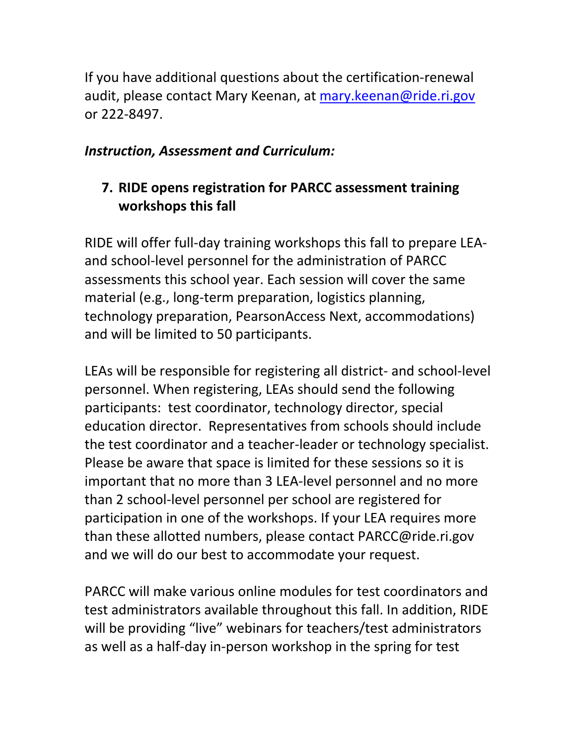If you have additional questions about the certification‐renewal audit, please contact Mary Keenan, at mary.keenan@ride.ri.gov or 222‐8497.

### *Instruction, Assessment and Curriculum:*

# **7. RIDE opens registration for PARCC assessment training workshops this fall**

RIDE will offer full‐day training workshops this fall to prepare LEA‐ and school‐level personnel for the administration of PARCC assessments this school year. Each session will cover the same material (e.g., long-term preparation, logistics planning, technology preparation, PearsonAccess Next, accommodations) and will be limited to 50 participants.

LEAs will be responsible for registering all district‐ and school‐level personnel. When registering, LEAs should send the following participants: test coordinator, technology director, special education director. Representatives from schools should include the test coordinator and a teacher‐leader or technology specialist. Please be aware that space is limited for these sessions so it is important that no more than 3 LEA‐level personnel and no more than 2 school‐level personnel per school are registered for participation in one of the workshops. If your LEA requires more than these allotted numbers, please contact PARCC@ride.ri.gov and we will do our best to accommodate your request.

PARCC will make various online modules for test coordinators and test administrators available throughout this fall. In addition, RIDE will be providing "live" webinars for teachers/test administrators as well as a half‐day in‐person workshop in the spring for test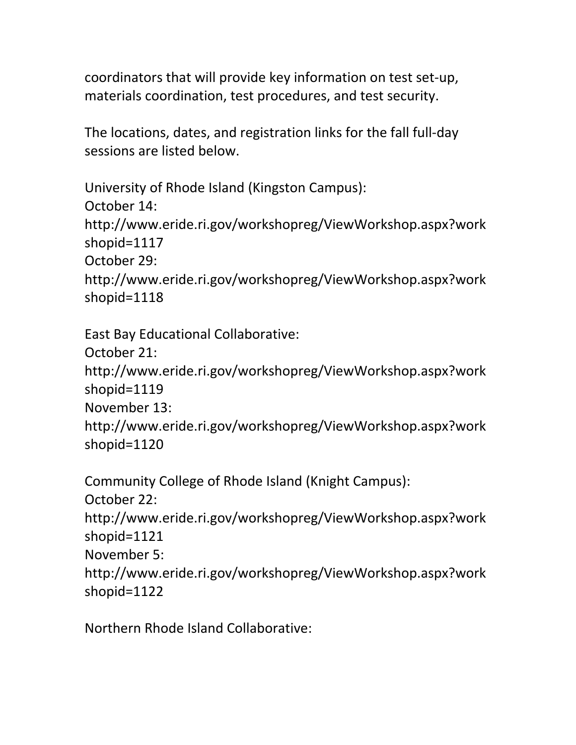coordinators that will provide key information on test set‐up, materials coordination, test procedures, and test security.

The locations, dates, and registration links for the fall full‐day sessions are listed below.

```
University of Rhode Island (Kingston Campus):
October 14:
http://www.eride.ri.gov/workshopreg/ViewWorkshop.aspx?work
shopid=1117  
October 29:
http://www.eride.ri.gov/workshopreg/ViewWorkshop.aspx?work
shopid=1118
```

```
East Bay Educational Collaborative:
October 21:
http://www.eride.ri.gov/workshopreg/ViewWorkshop.aspx?work
shopid=1119  
November 13:
http://www.eride.ri.gov/workshopreg/ViewWorkshop.aspx?work
shopid=1120
```

```
Community College of Rhode Island (Knight Campus):
October 22:
http://www.eride.ri.gov/workshopreg/ViewWorkshop.aspx?work
shopid=1121  
November 5:
http://www.eride.ri.gov/workshopreg/ViewWorkshop.aspx?work
shopid=1122
```
Northern Rhode Island Collaborative: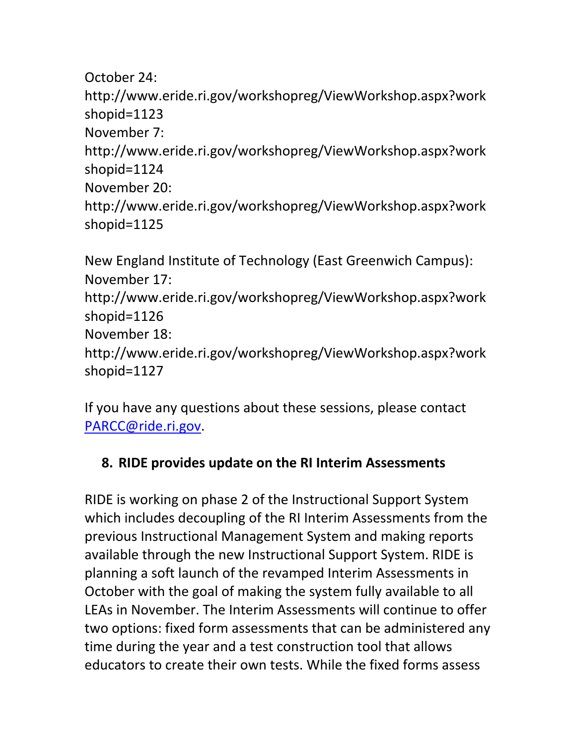October 24:

http://www.eride.ri.gov/workshopreg/ViewWorkshop.aspx?work shopid=1123

November 7:

http://www.eride.ri.gov/workshopreg/ViewWorkshop.aspx?work shopid=1124

November 20:

```
http://www.eride.ri.gov/workshopreg/ViewWorkshop.aspx?work
shopid=1125
```
New England Institute of Technology (East Greenwich Campus): November 17: http://www.eride.ri.gov/workshopreg/ViewWorkshop.aspx?work shopid=1126 November 18: http://www.eride.ri.gov/workshopreg/ViewWorkshop.aspx?work shopid=1127

If you have any questions about these sessions, please contact PARCC@ride.ri.gov.

# **8. RIDE provides update on the RI Interim Assessments**

RIDE is working on phase 2 of the Instructional Support System which includes decoupling of the RI Interim Assessments from the previous Instructional Management System and making reports available through the new Instructional Support System. RIDE is planning a soft launch of the revamped Interim Assessments in October with the goal of making the system fully available to all LEAs in November. The Interim Assessments will continue to offer two options: fixed form assessments that can be administered any time during the year and a test construction tool that allows educators to create their own tests. While the fixed forms assess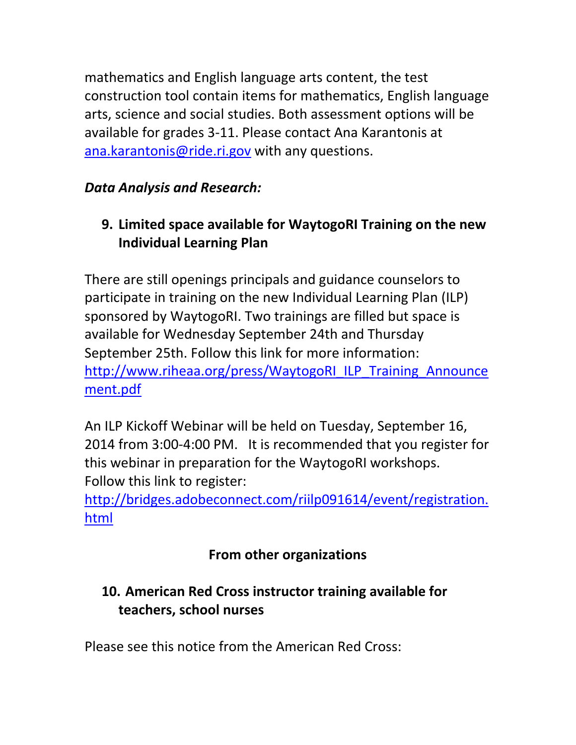mathematics and English language arts content, the test construction tool contain items for mathematics, English language arts, science and social studies. Both assessment options will be available for grades 3‐11. Please contact Ana Karantonis at ana.karantonis@ride.ri.gov with any questions.

# *Data Analysis and Research:*

# **9. Limited space available for WaytogoRI Training on the new Individual Learning Plan**

There are still openings principals and guidance counselors to participate in training on the new Individual Learning Plan (ILP) sponsored by WaytogoRI. Two trainings are filled but space is available for Wednesday September 24th and Thursday September 25th. Follow this link for more information: http://www.riheaa.org/press/WaytogoRI\_ILP\_Training\_Announce ment.pdf

An ILP Kickoff Webinar will be held on Tuesday, September 16, 2014 from 3:00‐4:00 PM. It is recommended that you register for this webinar in preparation for the WaytogoRI workshops. Follow this link to register:

http://bridges.adobeconnect.com/riilp091614/event/registration. html

# **From other organizations**

# **10. American Red Cross instructor training available for teachers, school nurses**

Please see this notice from the American Red Cross: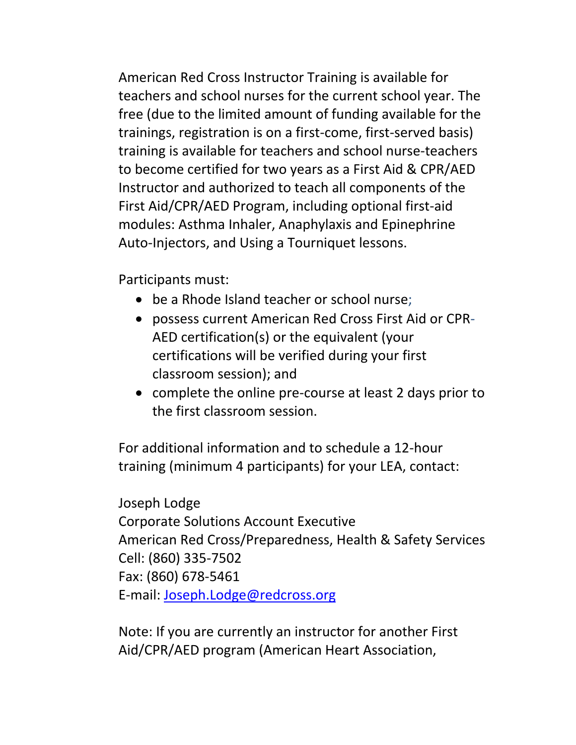American Red Cross Instructor Training is available for teachers and school nurses for the current school year. The free (due to the limited amount of funding available for the trainings, registration is on a first‐come, first‐served basis) training is available for teachers and school nurse‐teachers to become certified for two years as a First Aid & CPR/AED Instructor and authorized to teach all components of the First Aid/CPR/AED Program, including optional first‐aid modules: Asthma Inhaler, Anaphylaxis and Epinephrine Auto-Injectors, and Using a Tourniquet lessons.

Participants must:

- be a Rhode Island teacher or school nurse;
- possess current American Red Cross First Aid or CPR‐ AED certification(s) or the equivalent (your certifications will be verified during your first classroom session); and
- complete the online pre-course at least 2 days prior to the first classroom session.

For additional information and to schedule a 12‐hour training (minimum 4 participants) for your LEA, contact:

Joseph Lodge Corporate Solutions Account Executive American Red Cross/Preparedness, Health & Safety Services Cell: (860) 335‐7502 Fax: (860) 678‐5461 E‐mail: Joseph.Lodge@redcross.org

Note: If you are currently an instructor for another First Aid/CPR/AED program (American Heart Association,